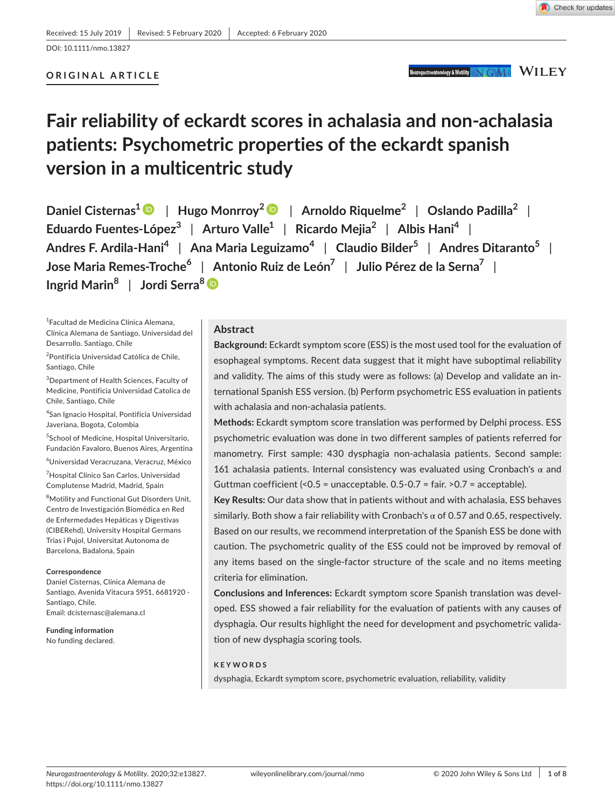**ORIGINAL ARTICLE**

# Neurogastroenterology & Motility NGM WILEY

Check for updates

# **Fair reliability of eckardt scores in achalasia and non-achalasia patients: Psychometric properties of the eckardt spanish version in a multicentric study**

**Daniel Cisternas[1](https://orcid.org/0000-0003-0909-5192)** | **Hugo Monrroy[2](https://orcid.org/0000-0002-4740-3945)** | **Arnoldo Riquelme2** | **Oslando Padilla2** | **Eduardo Fuentes-López3** | **Arturo Valle1** | **Ricardo Mejia2** | **Albis Hani<sup>4</sup>** | **Andres F. Ardila-Hani<sup>4</sup>** | **Ana Maria Leguizamo<sup>4</sup>** | **Claudio Bilder5** | **Andres Ditaranto5** | **Jose Maria Remes-Troche<sup>6</sup>** | **Antonio Ruiz de León7** | **Julio Pérez de la Serna7** | **Ingrid Marin<sup>8</sup>** | **Jordi Serra[8](https://orcid.org/0000-0003-2120-6270)**

1 Facultad de Medicina Clínica Alemana, Clínica Alemana de Santiago, Universidad del Desarrollo. Santiago, Chile

<sup>2</sup>Pontificia Universidad Católica de Chile, Santiago, Chile

 $^3$ Department of Health Sciences, Faculty of Medicine, Pontificia Universidad Catolica de Chile, Santiago, Chile

4 San Ignacio Hospital, Pontificia Universidad Javeriana, Bogota, Colombia

5 School of Medicine, Hospital Universitario, Fundación Favaloro, Buenos Aires, Argentina

6 Universidad Veracruzana, Veracruz, México

7 Hospital Clínico San Carlos, Universidad Complutense Madrid, Madrid, Spain

8 Motility and Functional Gut Disorders Unit, Centro de Investigación Biomédica en Red de Enfermedades Hepáticas y Digestivas (CIBERehd), University Hospital Germans Trias i Pujol, Universitat Autonoma de Barcelona, Badalona, Spain

#### **Correspondence**

Daniel Cisternas, Clínica Alemana de Santiago, Avenida Vitacura 5951, 6681920 - Santiago, Chile. Email: [dcisternasc@alemana.cl](mailto:dcisternasc@alemana.cl)

**Funding information** No funding declared.

#### **Abstract**

**Background:** Eckardt symptom score (ESS) is the most used tool for the evaluation of esophageal symptoms. Recent data suggest that it might have suboptimal reliability and validity. The aims of this study were as follows: (a) Develop and validate an international Spanish ESS version. (b) Perform psychometric ESS evaluation in patients with achalasia and non-achalasia patients.

**Methods:** Eckardt symptom score translation was performed by Delphi process. ESS psychometric evaluation was done in two different samples of patients referred for manometry. First sample: 430 dysphagia non-achalasia patients. Second sample: 161 achalasia patients. Internal consistency was evaluated using Cronbach's  $\alpha$  and Guttman coefficient  $\langle 0.5 = \text{unacceptable. } 0.5 - 0.7 = \text{fair. } 0.7 = \text{acceptable.}$ 

**Key Results:** Our data show that in patients without and with achalasia, ESS behaves similarly. Both show a fair reliability with Cronbach's  $\alpha$  of 0.57 and 0.65, respectively. Based on our results, we recommend interpretation of the Spanish ESS be done with caution. The psychometric quality of the ESS could not be improved by removal of any items based on the single-factor structure of the scale and no items meeting criteria for elimination.

**Conclusions and Inferences:** Eckardt symptom score Spanish translation was developed. ESS showed a fair reliability for the evaluation of patients with any causes of dysphagia. Our results highlight the need for development and psychometric validation of new dysphagia scoring tools.

#### **KEYWORDS**

dysphagia, Eckardt symptom score, psychometric evaluation, reliability, validity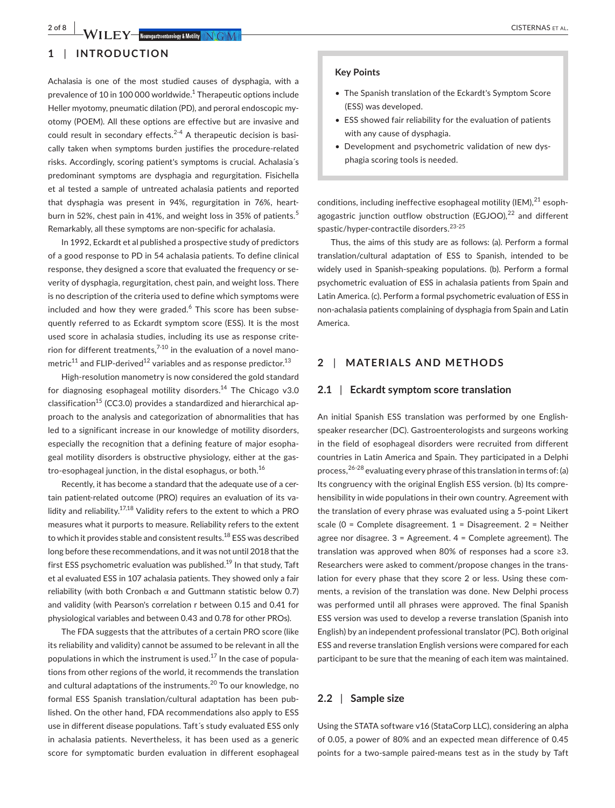# **1** | **INTRODUCTION**

Achalasia is one of the most studied causes of dysphagia, with a prevalence of 10 in 100 000 worldwide.<sup>1</sup> Therapeutic options include Heller myotomy, pneumatic dilation (PD), and peroral endoscopic myotomy (POEM). All these options are effective but are invasive and could result in secondary effects. $2-4$  A therapeutic decision is basically taken when symptoms burden justifies the procedure-related risks. Accordingly, scoring patient's symptoms is crucial. Achalasia´s predominant symptoms are dysphagia and regurgitation. Fisichella et al tested a sample of untreated achalasia patients and reported that dysphagia was present in 94%, regurgitation in 76%, heartburn in 52%, chest pain in 41%, and weight loss in 35% of patients.<sup>5</sup> Remarkably, all these symptoms are non-specific for achalasia.

In 1992, Eckardt et al published a prospective study of predictors of a good response to PD in 54 achalasia patients. To define clinical response, they designed a score that evaluated the frequency or severity of dysphagia, regurgitation, chest pain, and weight loss. There is no description of the criteria used to define which symptoms were included and how they were graded.<sup>6</sup> This score has been subsequently referred to as Eckardt symptom score (ESS). It is the most used score in achalasia studies, including its use as response criterion for different treatments, $7-10$  in the evaluation of a novel manometric<sup>11</sup> and FLIP-derived<sup>12</sup> variables and as response predictor.<sup>13</sup>

High-resolution manometry is now considered the gold standard for diagnosing esophageal motility disorders.<sup>14</sup> The Chicago v3.0 classification<sup>15</sup> (CC3.0) provides a standardized and hierarchical approach to the analysis and categorization of abnormalities that has led to a significant increase in our knowledge of motility disorders, especially the recognition that a defining feature of major esophageal motility disorders is obstructive physiology, either at the gastro-esophageal junction, in the distal esophagus, or both.<sup>16</sup>

Recently, it has become a standard that the adequate use of a certain patient-related outcome (PRO) requires an evaluation of its validity and reliability.<sup>17,18</sup> Validity refers to the extent to which a PRO measures what it purports to measure. Reliability refers to the extent to which it provides stable and consistent results.<sup>18</sup> ESS was described long before these recommendations, and it was not until 2018 that the first ESS psychometric evaluation was published.<sup>19</sup> In that study, Taft et al evaluated ESS in 107 achalasia patients. They showed only a fair reliability (with both Cronbach  $\alpha$  and Guttmann statistic below 0.7) and validity (with Pearson's correlation r between 0.15 and 0.41 for physiological variables and between 0.43 and 0.78 for other PROs).

The FDA suggests that the attributes of a certain PRO score (like its reliability and validity) cannot be assumed to be relevant in all the populations in which the instrument is used.<sup>17</sup> In the case of populations from other regions of the world, it recommends the translation and cultural adaptations of the instruments.<sup>20</sup> To our knowledge, no formal ESS Spanish translation/cultural adaptation has been published. On the other hand, FDA recommendations also apply to ESS use in different disease populations. Taft´s study evaluated ESS only in achalasia patients. Nevertheless, it has been used as a generic score for symptomatic burden evaluation in different esophageal

#### **Key Points**

- The Spanish translation of the Eckardt's Symptom Score (ESS) was developed.
- ESS showed fair reliability for the evaluation of patients with any cause of dysphagia.
- Development and psychometric validation of new dysphagia scoring tools is needed.

conditions, including ineffective esophageal motility (IEM), $^{21}$  esophagogastric junction outflow obstruction (EGJOO), $^{22}$  and different spastic/hyper-contractile disorders.23-25

Thus, the aims of this study are as follows: (a). Perform a formal translation/cultural adaptation of ESS to Spanish, intended to be widely used in Spanish-speaking populations. (b). Perform a formal psychometric evaluation of ESS in achalasia patients from Spain and Latin America. (c). Perform a formal psychometric evaluation of ESS in non-achalasia patients complaining of dysphagia from Spain and Latin America.

# **2** | **MATERIALS AND METHODS**

#### **2.1** | **Eckardt symptom score translation**

An initial Spanish ESS translation was performed by one Englishspeaker researcher (DC). Gastroenterologists and surgeons working in the field of esophageal disorders were recruited from different countries in Latin America and Spain. They participated in a Delphi process,  $26-28$  evaluating every phrase of this translation in terms of: (a) Its congruency with the original English ESS version. (b) Its comprehensibility in wide populations in their own country. Agreement with the translation of every phrase was evaluated using a 5-point Likert scale ( $0 =$  Complete disagreement.  $1 =$  Disagreement.  $2 =$  Neither agree nor disagree. 3 = Agreement. 4 = Complete agreement). The translation was approved when 80% of responses had a score ≥3. Researchers were asked to comment/propose changes in the translation for every phase that they score 2 or less. Using these comments, a revision of the translation was done. New Delphi process was performed until all phrases were approved. The final Spanish ESS version was used to develop a reverse translation (Spanish into English) by an independent professional translator (PC). Both original ESS and reverse translation English versions were compared for each participant to be sure that the meaning of each item was maintained.

### **2.2** | **Sample size**

Using the STATA software v16 (StataCorp LLC), considering an alpha of 0.05, a power of 80% and an expected mean difference of 0.45 points for a two-sample paired-means test as in the study by Taft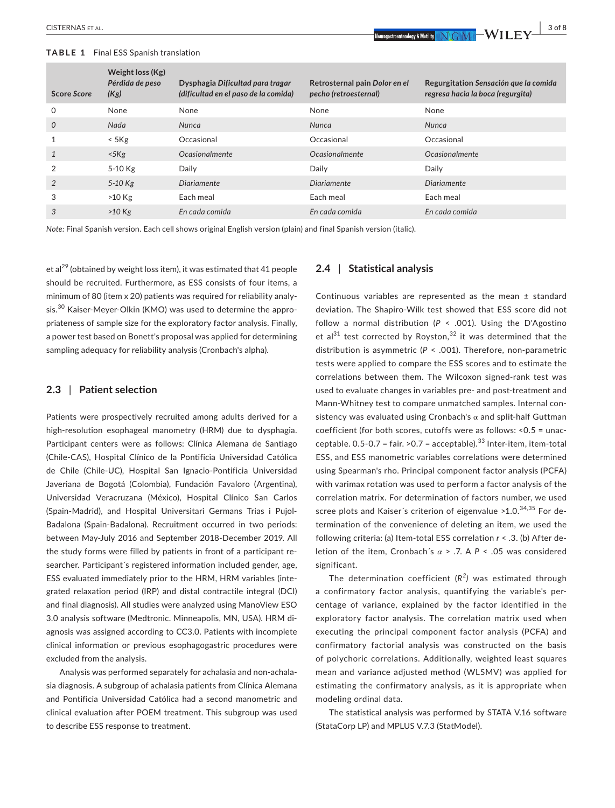| <b>Score Score</b> | Weight loss (Kg)<br>Pérdida de peso<br>(Kg) | Dysphagia Dificultad para tragar<br>(dificultad en el paso de la comida) | Retrosternal pain Dolor en el<br>pecho (retroesternal) | Regurgitation Sensación que la comida<br>regresa hacia la boca (regurgita) |
|--------------------|---------------------------------------------|--------------------------------------------------------------------------|--------------------------------------------------------|----------------------------------------------------------------------------|
| $\Omega$           | None                                        | None                                                                     | None                                                   | None                                                                       |
| $\mathcal{O}$      | Nada                                        | Nunca                                                                    | <b>Nunca</b>                                           | <b>Nunca</b>                                                               |
|                    | $<$ 5 $Kg$                                  | Occasional                                                               | Occasional                                             | Occasional                                                                 |
| $\mathbf{1}$       | $<$ 5 $Kg$                                  | <i><u><b>Ocasionalmente</b></u></i>                                      | <i><u><b>Ocasionalmente</b></u></i>                    | <i><u><b>Ocasionalmente</b></u></i>                                        |
| $\mathcal{P}$      | 5-10 Kg                                     | Daily                                                                    | Daily                                                  | Daily                                                                      |
| 2                  | $5-10$ Kg                                   | <b>Diariamente</b>                                                       | <b>Diariamente</b>                                     | <b>Diariamente</b>                                                         |
| 3                  | >10 Kg                                      | Each meal                                                                | Each meal                                              | Each meal                                                                  |
| 3                  | $>10$ Kg                                    | En cada comida                                                           | En cada comida                                         | En cada comida                                                             |

*Note:* Final Spanish version. Each cell shows original English version (plain) and final Spanish version (italic).

et al<sup>29</sup> (obtained by weight loss item), it was estimated that 41 people should be recruited. Furthermore, as ESS consists of four items, a minimum of 80 (item x 20) patients was required for reliability analysis.<sup>30</sup> Kaiser-Meyer-Olkin (KMO) was used to determine the appropriateness of sample size for the exploratory factor analysis. Finally, a power test based on Bonett's proposal was applied for determining sampling adequacy for reliability analysis (Cronbach's alpha).

### **2.3** | **Patient selection**

Patients were prospectively recruited among adults derived for a high-resolution esophageal manometry (HRM) due to dysphagia. Participant centers were as follows: Clínica Alemana de Santiago (Chile-CAS), Hospital Clínico de la Pontificia Universidad Católica de Chile (Chile-UC), Hospital San Ignacio-Pontificia Universidad Javeriana de Bogotá (Colombia), Fundación Favaloro (Argentina), Universidad Veracruzana (México), Hospital Clínico San Carlos (Spain-Madrid), and Hospital Universitari Germans Trias i Pujol-Badalona (Spain-Badalona). Recruitment occurred in two periods: between May-July 2016 and September 2018-December 2019. All the study forms were filled by patients in front of a participant researcher. Participant´s registered information included gender, age, ESS evaluated immediately prior to the HRM, HRM variables (integrated relaxation period (IRP) and distal contractile integral (DCI) and final diagnosis). All studies were analyzed using ManoView ESO 3.0 analysis software (Medtronic. Minneapolis, MN, USA). HRM diagnosis was assigned according to CC3.0. Patients with incomplete clinical information or previous esophagogastric procedures were excluded from the analysis.

Analysis was performed separately for achalasia and non-achalasia diagnosis. A subgroup of achalasia patients from Clínica Alemana and Pontificia Universidad Católica had a second manometric and clinical evaluation after POEM treatment. This subgroup was used to describe ESS response to treatment.

#### **2.4** | **Statistical analysis**

Continuous variables are represented as the mean ± standard deviation. The Shapiro-Wilk test showed that ESS score did not follow a normal distribution ( $P \le 0.001$ ). Using the D'Agostino et al<sup>31</sup> test corrected by Royston,<sup>32</sup> it was determined that the distribution is asymmetric (*P* < .001). Therefore, non-parametric tests were applied to compare the ESS scores and to estimate the correlations between them. The Wilcoxon signed-rank test was used to evaluate changes in variables pre- and post-treatment and Mann-Whitney test to compare unmatched samples. Internal consistency was evaluated using Cronbach's  $\alpha$  and split-half Guttman coefficient (for both scores, cutoffs were as follows: <0.5 = unacceptable.  $0.5$ - $0.7$  = fair. >0.7 = acceptable).<sup>33</sup> Inter-item, item-total ESS, and ESS manometric variables correlations were determined using Spearman's rho. Principal component factor analysis (PCFA) with varimax rotation was used to perform a factor analysis of the correlation matrix. For determination of factors number, we used scree plots and Kaiser's criterion of eigenvalue > 1.0.<sup>34,35</sup> For determination of the convenience of deleting an item, we used the following criteria: (a) Item-total ESS correlation *r* < .3. (b) After deletion of the item, Cronbach´s *α* > .7. A *P* < .05 was considered significant.

The determination coefficient (*R<sup>2</sup> )* was estimated through a confirmatory factor analysis, quantifying the variable's percentage of variance, explained by the factor identified in the exploratory factor analysis. The correlation matrix used when executing the principal component factor analysis (PCFA) and confirmatory factorial analysis was constructed on the basis of polychoric correlations. Additionally, weighted least squares mean and variance adjusted method (WLSMV) was applied for estimating the confirmatory analysis, as it is appropriate when modeling ordinal data.

The statistical analysis was performed by STATA V.16 software (StataCorp LP) and MPLUS V.7.3 (StatModel).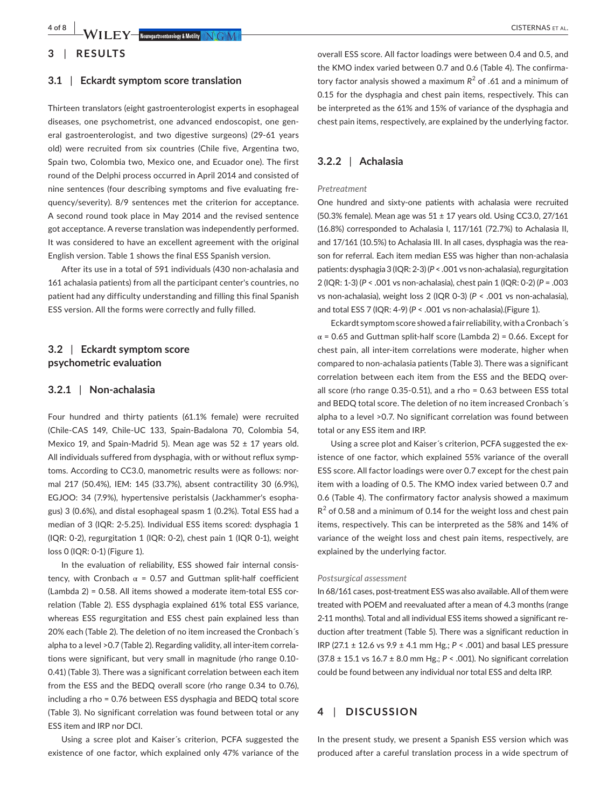**4 of 8 • WILEY Reunonstruentendow & Motifity IN GMT** 

#### **3.1** | **Eckardt symptom score translation**

Thirteen translators (eight gastroenterologist experts in esophageal diseases, one psychometrist, one advanced endoscopist, one general gastroenterologist, and two digestive surgeons) (29-61 years old) were recruited from six countries (Chile five, Argentina two, Spain two, Colombia two, Mexico one, and Ecuador one). The first round of the Delphi process occurred in April 2014 and consisted of nine sentences (four describing symptoms and five evaluating frequency/severity). 8/9 sentences met the criterion for acceptance. A second round took place in May 2014 and the revised sentence got acceptance. A reverse translation was independently performed. It was considered to have an excellent agreement with the original English version. Table 1 shows the final ESS Spanish version.

After its use in a total of 591 individuals (430 non-achalasia and 161 achalasia patients) from all the participant center's countries, no patient had any difficulty understanding and filling this final Spanish ESS version. All the forms were correctly and fully filled.

# **3.2** | **Eckardt symptom score psychometric evaluation**

#### **3.2.1** | **Non-achalasia**

Four hundred and thirty patients (61.1% female) were recruited (Chile-CAS 149, Chile-UC 133, Spain-Badalona 70, Colombia 54, Mexico 19, and Spain-Madrid 5). Mean age was  $52 \pm 17$  years old. All individuals suffered from dysphagia, with or without reflux symptoms. According to CC3.0, manometric results were as follows: normal 217 (50.4%), IEM: 145 (33.7%), absent contractility 30 (6.9%), EGJOO: 34 (7.9%), hypertensive peristalsis (Jackhammer's esophagus) 3 (0.6%), and distal esophageal spasm 1 (0.2%). Total ESS had a median of 3 (IQR: 2-5.25). Individual ESS items scored: dysphagia 1 (IQR: 0-2), regurgitation 1 (IQR: 0-2), chest pain 1 (IQR 0-1), weight loss 0 (IQR: 0-1) (Figure 1).

In the evaluation of reliability, ESS showed fair internal consistency, with Cronbach  $\alpha$  = 0.57 and Guttman split-half coefficient (Lambda 2) = 0.58. All items showed a moderate item-total ESS correlation (Table 2). ESS dysphagia explained 61% total ESS variance, whereas ESS regurgitation and ESS chest pain explained less than 20% each (Table 2). The deletion of no item increased the Cronbach´s alpha to a level >0.7 (Table 2). Regarding validity, all inter-item correlations were significant, but very small in magnitude (rho range 0.10- 0.41) (Table 3). There was a significant correlation between each item from the ESS and the BEDQ overall score (rho range 0.34 to 0.76), including a rho = 0.76 between ESS dysphagia and BEDQ total score (Table 3). No significant correlation was found between total or any ESS item and IRP nor DCI.

Using a scree plot and Kaiser´s criterion, PCFA suggested the existence of one factor, which explained only 47% variance of the

overall ESS score. All factor loadings were between 0.4 and 0.5, and the KMO index varied between 0.7 and 0.6 (Table 4). The confirmatory factor analysis showed a maximum *R*<sup>2</sup> of .61 and a minimum of 0.15 for the dysphagia and chest pain items, respectively. This can be interpreted as the 61% and 15% of variance of the dysphagia and chest pain items, respectively, are explained by the underlying factor.

# **3.2.2** | **Achalasia**

#### *Pretreatment*

One hundred and sixty-one patients with achalasia were recruited (50.3% female). Mean age was  $51 \pm 17$  years old. Using CC3.0, 27/161 (16.8%) corresponded to Achalasia I, 117/161 (72.7%) to Achalasia II, and 17/161 (10.5%) to Achalasia III. In all cases, dysphagia was the reason for referral. Each item median ESS was higher than non-achalasia patients: dysphagia 3 (IQR: 2-3) (*P* < .001 vs non-achalasia),regurgitation 2 (IQR: 1-3) (*P* < .001 vs non-achalasia), chest pain 1 (IQR: 0-2) (*P* = .003 vs non-achalasia), weight loss 2 (IQR 0-3) (*P* < .001 vs non-achalasia), and total ESS 7 (IQR: 4-9) (*P* < .001 vs non-achalasia).(Figure 1).

Eckardt symptom score showed a fair reliability, with a Cronbach's  $\alpha$  = 0.65 and Guttman split-half score (Lambda 2) = 0.66. Except for chest pain, all inter-item correlations were moderate, higher when compared to non-achalasia patients (Table 3). There was a significant correlation between each item from the ESS and the BEDQ overall score (rho range 0.35-0.51), and a rho = 0.63 between ESS total and BEDQ total score. The deletion of no item increased Cronbach´s alpha to a level >0.7. No significant correlation was found between total or any ESS item and IRP.

Using a scree plot and Kaiser´s criterion, PCFA suggested the existence of one factor, which explained 55% variance of the overall ESS score. All factor loadings were over 0.7 except for the chest pain item with a loading of 0.5. The KMO index varied between 0.7 and 0.6 (Table 4). The confirmatory factor analysis showed a maximum  $R^2$  of 0.58 and a minimum of 0.14 for the weight loss and chest pain items, respectively. This can be interpreted as the 58% and 14% of variance of the weight loss and chest pain items, respectively, are explained by the underlying factor.

#### *Postsurgical assessment*

In 68/161 cases, post-treatment ESS was also available. All of them were treated with POEM and reevaluated after a mean of 4.3 months (range 2-11 months). Total and all individual ESS items showed a significant reduction after treatment (Table 5). There was a significant reduction in IRP (27.1 ± 12.6 vs 9.9 ± 4.1 mm Hg.; *P* < .001) and basal LES pressure (37.8 ± 15.1 vs 16.7 ± 8.0 mm Hg.; *P* < .001). No significant correlation could be found between any individual nor total ESS and delta IRP.

# **4** | **DISCUSSION**

In the present study, we present a Spanish ESS version which was produced after a careful translation process in a wide spectrum of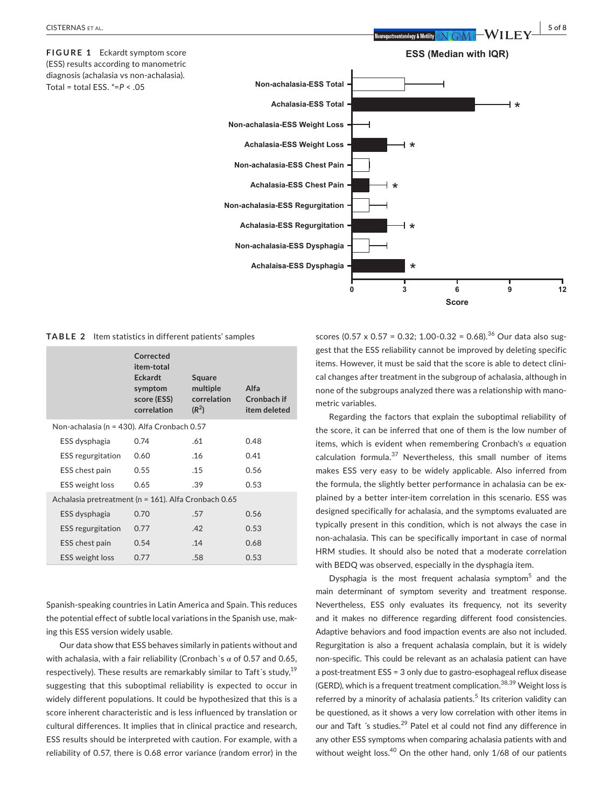

**TABLE 2** Item statistics in different patients' samples

|                                                      | Corrected<br>item-total<br><b>Eckardt</b><br>symptom<br>score (ESS)<br>correlation | Square<br>multiple<br>correlation<br>$(R^2)$ | Alfa<br>Cronbach if<br>item deleted |  |
|------------------------------------------------------|------------------------------------------------------------------------------------|----------------------------------------------|-------------------------------------|--|
| Non-achalasia (n = 430). Alfa Cronbach 0.57          |                                                                                    |                                              |                                     |  |
| ESS dysphagia                                        | 0.74                                                                               | .61                                          | 0.48                                |  |
| <b>ESS</b> regurgitation                             | 0.60                                                                               | .16                                          | 0.41                                |  |
| ESS chest pain                                       | 0.55                                                                               | .15                                          | 0.56                                |  |
| <b>ESS</b> weight loss                               | 0.65                                                                               | .39                                          | 0.53                                |  |
| Achalasia pretreatment (n = 161). Alfa Cronbach 0.65 |                                                                                    |                                              |                                     |  |
| ESS dysphagia                                        | 0.70                                                                               | .57                                          | 0.56                                |  |
| <b>ESS</b> regurgitation                             | 0.77                                                                               | .42                                          | 0.53                                |  |
| ESS chest pain                                       | 0.54                                                                               | .14                                          | 0.68                                |  |
| <b>ESS</b> weight loss                               | 0.77                                                                               | .58                                          | 0.53                                |  |

Spanish-speaking countries in Latin America and Spain. This reduces the potential effect of subtle local variations in the Spanish use, making this ESS version widely usable.

Our data show that ESS behaves similarly in patients without and with achalasia, with a fair reliability (Cronbach`s  $\alpha$  of 0.57 and 0.65, respectively). These results are remarkably similar to Taft's study, $^{19}$ suggesting that this suboptimal reliability is expected to occur in widely different populations. It could be hypothesized that this is a score inherent characteristic and is less influenced by translation or cultural differences. It implies that in clinical practice and research, ESS results should be interpreted with caution. For example, with a reliability of 0.57, there is 0.68 error variance (random error) in the scores (0.57 x 0.57 = 0.32; 1.00-0.32 = 0.68).<sup>36</sup> Our data also suggest that the ESS reliability cannot be improved by deleting specific items. However, it must be said that the score is able to detect clinical changes after treatment in the subgroup of achalasia, although in none of the subgroups analyzed there was a relationship with manometric variables.

Regarding the factors that explain the suboptimal reliability of the score, it can be inferred that one of them is the low number of items, which is evident when remembering Cronbach's  $\alpha$  equation calculation formula.<sup>37</sup> Nevertheless, this small number of items makes ESS very easy to be widely applicable. Also inferred from the formula, the slightly better performance in achalasia can be explained by a better inter-item correlation in this scenario. ESS was designed specifically for achalasia, and the symptoms evaluated are typically present in this condition, which is not always the case in non-achalasia. This can be specifically important in case of normal HRM studies. It should also be noted that a moderate correlation with BEDQ was observed, especially in the dysphagia item.

Dysphagia is the most frequent achalasia symptom<sup>5</sup> and the main determinant of symptom severity and treatment response. Nevertheless, ESS only evaluates its frequency, not its severity and it makes no difference regarding different food consistencies. Adaptive behaviors and food impaction events are also not included. Regurgitation is also a frequent achalasia complain, but it is widely non-specific. This could be relevant as an achalasia patient can have a post-treatment ESS = 3 only due to gastro-esophageal reflux disease (GERD), which is a frequent treatment complication.<sup>38,39</sup> Weight loss is referred by a minority of achalasia patients.<sup>5</sup> Its criterion validity can be questioned, as it shows a very low correlation with other items in our and Taft 's studies.<sup>29</sup> Patel et al could not find any difference in any other ESS symptoms when comparing achalasia patients with and without weight loss.<sup>40</sup> On the other hand, only 1/68 of our patients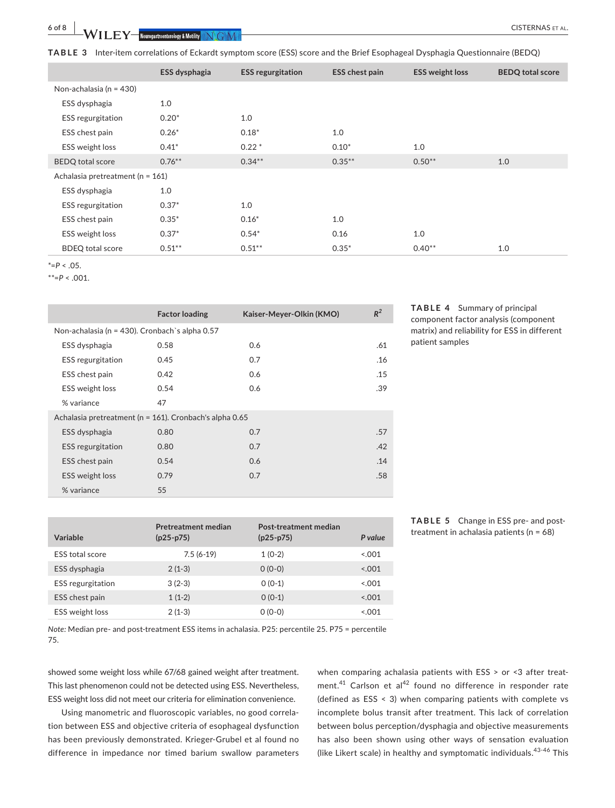**TABLE 3** Inter-item correlations of Eckardt symptom score (ESS) score and the Brief Esophageal Dysphagia Questionnaire (BEDQ)

|                                  | ESS dysphagia | <b>ESS regurgitation</b> | <b>ESS chest pain</b> | <b>ESS weight loss</b> | <b>BEDQ total score</b> |
|----------------------------------|---------------|--------------------------|-----------------------|------------------------|-------------------------|
| Non-achalasia (n = 430)          |               |                          |                       |                        |                         |
| ESS dysphagia                    | 1.0           |                          |                       |                        |                         |
| <b>ESS</b> regurgitation         | $0.20*$       | 1.0                      |                       |                        |                         |
| ESS chest pain                   | $0.26*$       | $0.18*$                  | 1.0                   |                        |                         |
| ESS weight loss                  | $0.41*$       | $0.22*$                  | $0.10*$               | 1.0                    |                         |
| <b>BEDQ</b> total score          | $0.76***$     | $0.34***$                | $0.35***$             | $0.50**$               | 1.0                     |
| Achalasia pretreatment (n = 161) |               |                          |                       |                        |                         |
| ESS dysphagia                    | 1.0           |                          |                       |                        |                         |
| <b>ESS</b> regurgitation         | $0.37*$       | 1.0                      |                       |                        |                         |
| ESS chest pain                   | $0.35*$       | $0.16*$                  | 1.0                   |                        |                         |
| ESS weight loss                  | $0.37*$       | $0.54*$                  | 0.16                  | 1.0                    |                         |
| <b>BDEQ</b> total score          | $0.51***$     | $0.51***$                | $0.35*$               | $0.40**$               | 1.0                     |

\*=*P* < .05.

 $*^* = P < .001$ .

|                                                         | <b>Factor loading</b> | Kaiser-Meyer-Olkin (KMO) | $R^2$ |
|---------------------------------------------------------|-----------------------|--------------------------|-------|
| Non-achalasia (n = 430). Cronbach's alpha 0.57          |                       |                          |       |
| ESS dysphagia                                           | 0.58                  | 0.6                      | .61   |
| <b>ESS</b> regurgitation                                | 0.45                  | 0.7                      | .16   |
| ESS chest pain                                          | 0.42                  | 0.6                      | .15   |
| <b>ESS</b> weight loss                                  | 0.54                  | 0.6                      | .39   |
| % variance                                              | 47                    |                          |       |
| Achalasia pretreatment (n = 161). Cronbach's alpha 0.65 |                       |                          |       |
| ESS dysphagia                                           | 0.80                  | 0.7                      | .57   |
| <b>ESS</b> regurgitation                                | 0.80                  | 0.7                      | .42   |
| ESS chest pain                                          | 0.54                  | 0.6                      | .14   |
| ESS weight loss                                         | 0.79                  | 0.7                      | .58   |
| % variance                                              | 55                    |                          |       |

**TABLE 4** Summary of principal component factor analysis (component matrix) and reliability for ESS in different patient samples

| Variable                 | <b>Pretreatment median</b><br>$(p25-p75)$ | Post-treatment median<br>$(p25-p75)$ | P value |
|--------------------------|-------------------------------------------|--------------------------------------|---------|
| <b>ESS</b> total score   | $7.5(6-19)$                               | $1(0-2)$                             | < 0.001 |
| ESS dysphagia            | $2(1-3)$                                  | $0(0-0)$                             | < 0.01  |
| <b>ESS</b> regurgitation | $3(2-3)$                                  | $O (O-1)$                            | < 0.01  |
| ESS chest pain           | $1(1-2)$                                  | $O (O-1)$                            | < 0.01  |
| <b>ESS</b> weight loss   | $2(1-3)$                                  | $0(0-0)$                             | 5.001   |

**TABLE 5** Change in ESS pre- and posttreatment in achalasia patients (n = 68)

*Note:* Median pre- and post-treatment ESS items in achalasia. P25: percentile 25. P75 = percentile 75.

showed some weight loss while 67/68 gained weight after treatment. This last phenomenon could not be detected using ESS. Nevertheless, ESS weight loss did not meet our criteria for elimination convenience.

Using manometric and fluoroscopic variables, no good correlation between ESS and objective criteria of esophageal dysfunction has been previously demonstrated. Krieger-Grubel et al found no difference in impedance nor timed barium swallow parameters

when comparing achalasia patients with ESS > or <3 after treatment.<sup>41</sup> Carlson et al<sup>42</sup> found no difference in responder rate (defined as ESS < 3) when comparing patients with complete vs incomplete bolus transit after treatment. This lack of correlation between bolus perception/dysphagia and objective measurements has also been shown using other ways of sensation evaluation (like Likert scale) in healthy and symptomatic individuals.<sup>43-46</sup> This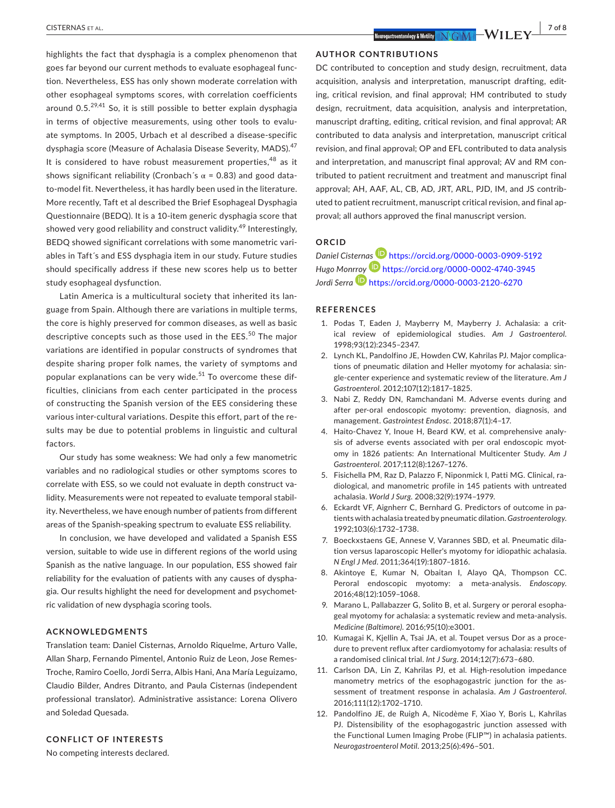highlights the fact that dysphagia is a complex phenomenon that goes far beyond our current methods to evaluate esophageal function. Nevertheless, ESS has only shown moderate correlation with other esophageal symptoms scores, with correlation coefficients around  $0.5^{29,41}$  So, it is still possible to better explain dysphagia in terms of objective measurements, using other tools to evaluate symptoms. In 2005, Urbach et al described a disease-specific dysphagia score (Measure of Achalasia Disease Severity, MADS).<sup>47</sup> It is considered to have robust measurement properties,<sup>48</sup> as it shows significant reliability (Cronbach's  $\alpha$  = 0.83) and good datato-model fit. Nevertheless, it has hardly been used in the literature. More recently, Taft et al described the Brief Esophageal Dysphagia Questionnaire (BEDQ). It is a 10-item generic dysphagia score that showed very good reliability and construct validity.<sup>49</sup> Interestingly, BEDQ showed significant correlations with some manometric variables in Taft´s and ESS dysphagia item in our study. Future studies should specifically address if these new scores help us to better study esophageal dysfunction.

Latin America is a multicultural society that inherited its language from Spain. Although there are variations in multiple terms, the core is highly preserved for common diseases, as well as basic descriptive concepts such as those used in the EES.<sup>50</sup> The major variations are identified in popular constructs of syndromes that despite sharing proper folk names, the variety of symptoms and popular explanations can be very wide.<sup>51</sup> To overcome these difficulties, clinicians from each center participated in the process of constructing the Spanish version of the EES considering these various inter-cultural variations. Despite this effort, part of the results may be due to potential problems in linguistic and cultural factors.

Our study has some weakness: We had only a few manometric variables and no radiological studies or other symptoms scores to correlate with ESS, so we could not evaluate in depth construct validity. Measurements were not repeated to evaluate temporal stability. Nevertheless, we have enough number of patients from different areas of the Spanish-speaking spectrum to evaluate ESS reliability.

In conclusion, we have developed and validated a Spanish ESS version, suitable to wide use in different regions of the world using Spanish as the native language. In our population, ESS showed fair reliability for the evaluation of patients with any causes of dysphagia. Our results highlight the need for development and psychometric validation of new dysphagia scoring tools.

#### **ACKNOWLEDGMENTS**

Translation team: Daniel Cisternas, Arnoldo Riquelme, Arturo Valle, Allan Sharp, Fernando Pimentel, Antonio Ruiz de Leon, Jose Remes-Troche, Ramiro Coello, Jordi Serra, Albis Hani, Ana María Leguizamo, Claudio Bilder, Andres Ditranto, and Paula Cisternas (independent professional translator). Administrative assistance: Lorena Olivero and Soledad Quesada.

#### **CONFLICT OF INTERESTS**

No competing interests declared.

#### **AUTHOR CONTRIBUTIONS**

DC contributed to conception and study design, recruitment, data acquisition, analysis and interpretation, manuscript drafting, editing, critical revision, and final approval; HM contributed to study design, recruitment, data acquisition, analysis and interpretation, manuscript drafting, editing, critical revision, and final approval; AR contributed to data analysis and interpretation, manuscript critical revision, and final approval; OP and EFL contributed to data analysis and interpretation, and manuscript final approval; AV and RM contributed to patient recruitment and treatment and manuscript final approval; AH, AAF, AL, CB, AD, JRT, ARL, PJD, IM, and JS contributed to patient recruitment, manuscript critical revision, and final approval; all authors approved the final manuscript version.

# **ORCID**

*Daniel Cistern[as](https://orcid.org/0000-0002-4740-3945)* <https://orcid.org/0000-0003-0909-5192> *Hugo Mon[rroy](https://orcid.org/0000-0003-2120-6270)* <https://orcid.org/0000-0002-4740-3945> *Jordi Serra* **D** <https://orcid.org/0000-0003-2120-6270>

#### **REFERENCES**

- 1. Podas T, Eaden J, Mayberry M, Mayberry J. Achalasia: a critical review of epidemiological studies. *Am J Gastroenterol*. 1998;93(12):2345–2347.
- 2. Lynch KL, Pandolfino JE, Howden CW, Kahrilas PJ. Major complications of pneumatic dilation and Heller myotomy for achalasia: single-center experience and systematic review of the literature. *Am J Gastroenterol*. 2012;107(12):1817–1825.
- 3. Nabi Z, Reddy DN, Ramchandani M. Adverse events during and after per-oral endoscopic myotomy: prevention, diagnosis, and management. *Gastrointest Endosc*. 2018;87(1):4–17.
- 4. Haito-Chavez Y, Inoue H, Beard KW, et al. comprehensive analysis of adverse events associated with per oral endoscopic myotomy in 1826 patients: An International Multicenter Study. *Am J Gastroenterol*. 2017;112(8):1267–1276.
- 5. Fisichella PM, Raz D, Palazzo F, Niponmick I, Patti MG. Clinical, radiological, and manometric profile in 145 patients with untreated achalasia. *World J Surg*. 2008;32(9):1974–1979.
- 6. Eckardt VF, Aignherr C, Bernhard G. Predictors of outcome in patients with achalasia treated by pneumatic dilation. *Gastroenterology*. 1992;103(6):1732–1738.
- 7. Boeckxstaens GE, Annese V, Varannes SBD, et al. Pneumatic dilation versus laparoscopic Heller's myotomy for idiopathic achalasia. *N Engl J Med*. 2011;364(19):1807–1816.
- 8. Akintoye E, Kumar N, Obaitan I, Alayo QA, Thompson CC. Peroral endoscopic myotomy: a meta-analysis. *Endoscopy*. 2016;48(12):1059–1068.
- 9. Marano L, Pallabazzer G, Solito B, et al. Surgery or peroral esophageal myotomy for achalasia: a systematic review and meta-analysis. *Medicine (Baltimore)*. 2016;95(10):e3001.
- 10. Kumagai K, Kjellin A, Tsai JA, et al. Toupet versus Dor as a procedure to prevent reflux after cardiomyotomy for achalasia: results of a randomised clinical trial. *Int J Surg*. 2014;12(7):673–680.
- 11. Carlson DA, Lin Z, Kahrilas PJ, et al. High-resolution impedance manometry metrics of the esophagogastric junction for the assessment of treatment response in achalasia. *Am J Gastroenterol*. 2016;111(12):1702–1710.
- 12. Pandolfino JE, de Ruigh A, Nicodème F, Xiao Y, Boris L, Kahrilas PJ. Distensibility of the esophagogastric junction assessed with the Functional Lumen Imaging Probe (FLIP™) in achalasia patients. *Neurogastroenterol Motil*. 2013;25(6):496–501.